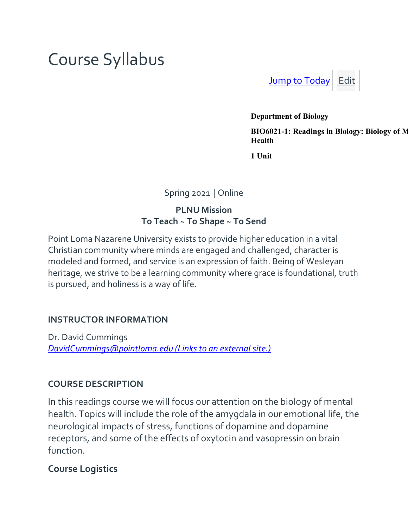# Course Syllabus

[Jump to Today](https://canvas.pointloma.edu/courses/56326/assignments/syllabus) [Edit](https://canvas.pointloma.edu/courses/56326/assignments/syllabus)

**Department of Biology**

**BIO6021-1: Readings in Biology: Biology of M Health**

**1 Unit**

Spring 2021 | Online

**PLNU Mission To Teach ~ To Shape ~ To Send**

Point Loma Nazarene University exists to provide higher education in a vital Christian community where minds are engaged and challenged, character is modeled and formed, and service is an expression of faith. Being of Wesleyan heritage, we strive to be a learning community where grace is foundational, truth is pursued, and holiness is a way of life.

## **INSTRUCTOR INFORMATION**

Dr. David Cummings *[DavidCummings@pointloma.edu](https://mail.google.com/mail/?view=cm&fs=1&tf=1&to=andavis@pointloma.edu) (Links to an externalsite.)*

## **COURSE DESCRIPTION**

In this readings course we will focus our attention on the biology of mental health. Topics will include the role of the amygdala in our emotional life, the neurological impacts of stress, functions of dopamine and dopamine receptors, and some of the effects of oxytocin and vasopressin on brain function.

## **Course Logistics**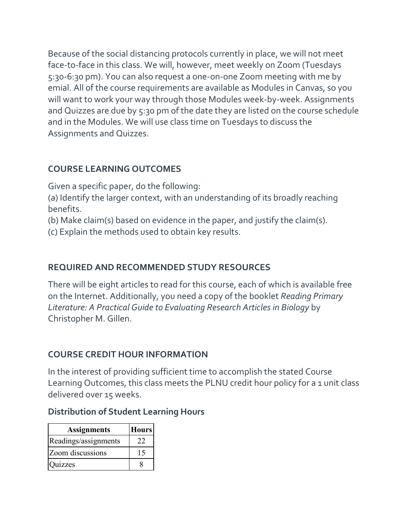Because of the social distancing protocols currently in place, we will not meet face-to-face in this class. We will, however, meet weekly on Zoom (Tuesdays 5:30-6:30 pm). You can also request a one-on-one Zoom meeting with me by emial. All of the course requirements are available as Modules in Canvas, so you will want to work your way through those Modules week-by-week. Assignments and Quizzes are due by 5:30 pm of the date they are listed on the course schedule and in the Modules. We will use class time on Tuesdays to discuss the Assignments and Quizzes.

# **COURSE LEARNING OUTCOMES**

Given a specific paper, do the following:

(a) Identify the larger context, with an understanding of its broadly reaching benefits.

(b) Make claim(s) based on evidence in the paper, and justify the claim(s).

(c) Explain the methods used to obtain key results.

# **REQUIRED AND RECOMMENDED STUDY RESOURCES**

There will be eight articles to read for this course, each of which is available free on the Internet. Additionally, you need a copy of the booklet *Reading Primary Literature: A Practical Guide to Evaluating Research Articles in Biology* by Christopher M. Gillen.

# **COURSE CREDIT HOUR INFORMATION**

In the interest of providing sufficient time to accomplish the stated Course Learning Outcomes, this class meets the PLNU credit hour policy for a 1 unit class delivered over 15 weeks.

## **Distribution of Student Learning Hours**

| <b>Assignments</b>    | <b>Hours</b> |
|-----------------------|--------------|
| Readings/assignments  | 22           |
| Zoom discussions      | 15           |
| <i><b>Quizzes</b></i> |              |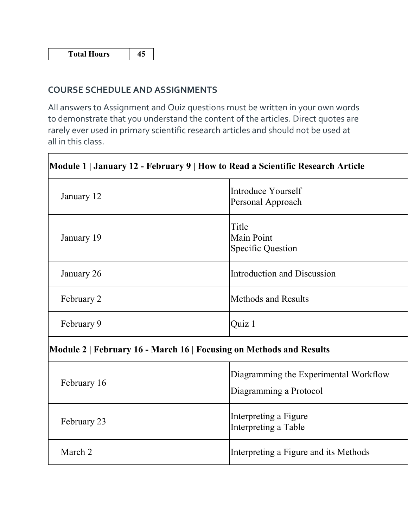#### **COURSE SCHEDULE AND ASSIGNMENTS**

All answers to Assignment and Quiz questions must be written in your own words to demonstrate that you understand the content of the articles. Direct quotes are rarely ever used in primary scientific research articles and should not be used at all in this class.

| Module 1   January 12 - February 9   How to Read a Scientific Research Article |                                                                 |  |
|--------------------------------------------------------------------------------|-----------------------------------------------------------------|--|
| January 12                                                                     | Introduce Yourself<br>Personal Approach                         |  |
| January 19                                                                     | Title<br><b>Main Point</b><br><b>Specific Question</b>          |  |
| January 26                                                                     | Introduction and Discussion                                     |  |
| February 2                                                                     | <b>Methods and Results</b>                                      |  |
| February 9                                                                     | Quiz 1                                                          |  |
| Module 2   February 16 - March 16   Focusing on Methods and Results            |                                                                 |  |
| February 16                                                                    | Diagramming the Experimental Workflow<br>Diagramming a Protocol |  |
| February 23                                                                    | Interpreting a Figure<br>Interpreting a Table                   |  |
| March 2                                                                        | Interpreting a Figure and its Methods                           |  |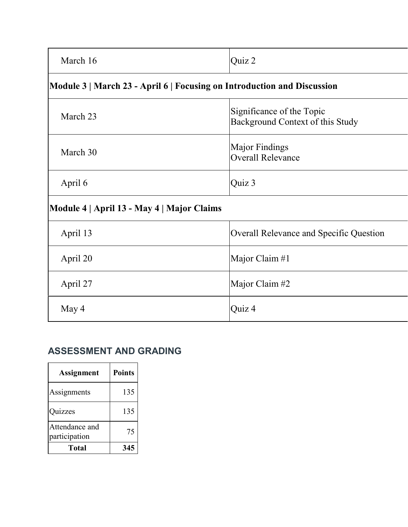| March 16                                                                | Quiz 2                                                        |  |
|-------------------------------------------------------------------------|---------------------------------------------------------------|--|
| Module 3   March 23 - April 6   Focusing on Introduction and Discussion |                                                               |  |
| March 23                                                                | Significance of the Topic<br>Background Context of this Study |  |
| March 30                                                                | Major Findings<br><b>Overall Relevance</b>                    |  |
| April 6                                                                 | Quiz 3                                                        |  |
| Module 4   April 13 - May 4   Major Claims                              |                                                               |  |
| April 13                                                                | Overall Relevance and Specific Question                       |  |
| April 20                                                                | Major Claim #1                                                |  |
| April 27                                                                | Major Claim #2                                                |  |
| May 4                                                                   | Quiz 4                                                        |  |

# **ASSESSMENT AND GRADING**

| <b>Assignment</b>               | <b>Points</b> |
|---------------------------------|---------------|
| Assignments                     | 135           |
| Quizzes                         | 135           |
| Attendance and<br>participation | 75            |
| Total                           | 345           |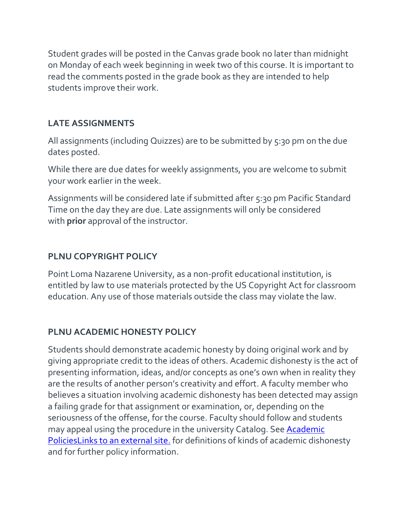Student grades will be posted in the Canvas grade book no later than midnight on Monday of each week beginning in week two of this course. It is important to read the comments posted in the grade book as they are intended to help students improve their work.

# **LATE ASSIGNMENTS**

All assignments (including Quizzes) are to be submitted by 5:30 pm on the due dates posted.

While there are due dates for weekly assignments, you are welcome to submit your work earlier in the week.

Assignments will be considered late if submitted after 5:30 pm Pacific Standard Time on the day they are due. Late assignments will only be considered with **prior** approval of the instructor.

# **PLNU COPYRIGHT POLICY**

Point Loma Nazarene University, as a non-profit educational institution, is entitled by law to use materials protected by the US Copyright Act for classroom education. Any use of those materials outside the class may violate the law.

# **PLNU ACADEMIC HONESTY POLICY**

Students should demonstrate academic honesty by doing original work and by giving appropriate credit to the ideas of others. Academic dishonesty is the act of presenting information, ideas, and/or concepts as one's own when in reality they are the results of another person's creativity and effort. A faculty member who believes a situation involving academic dishonesty has been detected may assign a failing grade for that assignment or examination, or, depending on the seriousness of the offense, for the course. Faculty should follow and students may appeal using the procedure in the university Catalog. See **Academic** [PoliciesLinks](http://catalog.pointloma.edu/content.php?catoid=18&navoid=1278) to an external site. for definitions of kinds of academic dishonesty and for further policy information.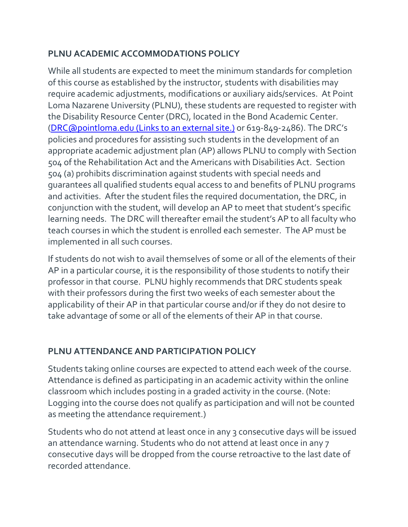# **PLNU ACADEMIC ACCOMMODATIONS POLICY**

While all students are expected to meet the minimum standards for completion of this course as established by the instructor, students with disabilities may require academic adjustments, modifications or auxiliary aids/services. At Point Loma Nazarene University (PLNU), these students are requested to register with the Disability Resource Center (DRC), located in the Bond Academic Center. [\(DRC@pointloma.edu](https://mail.google.com/mail/?view=cm&fs=1&tf=1&to=DRC@pointloma.edu) (Links to an external site.) or 619-849-2486). The DRC's policies and procedures for assisting such students in the development of an appropriate academic adjustment plan (AP) allows PLNU to comply with Section 504 of the Rehabilitation Act and the Americans with Disabilities Act. Section 504 (a) prohibits discrimination against students with special needs and guarantees all qualified students equal access to and benefits of PLNU programs and activities. After the student files the required documentation, the DRC, in conjunction with the student, will develop an AP to meet that student's specific learning needs. The DRC will thereafter email the student's AP to all faculty who teach courses in which the student is enrolled each semester. The AP must be implemented in all such courses.

If students do not wish to avail themselves of some or all of the elements of their AP in a particular course, it is the responsibility of those students to notify their professor in that course. PLNU highly recommends that DRC students speak with their professors during the first two weeks of each semester about the applicability of their AP in that particular course and/or if they do not desire to take advantage of some or all of the elements of their AP in that course.

# **PLNU ATTENDANCE AND PARTICIPATION POLICY**

Students taking online courses are expected to attend each week of the course. Attendance is defined as participating in an academic activity within the online classroom which includes posting in a graded activity in the course. (Note: Logging into the course does not qualify as participation and will not be counted as meeting the attendance requirement.)

Students who do not attend at least once in any 3 consecutive days will be issued an attendance warning. Students who do not attend at least once in any 7 consecutive days will be dropped from the course retroactive to the last date of recorded attendance.